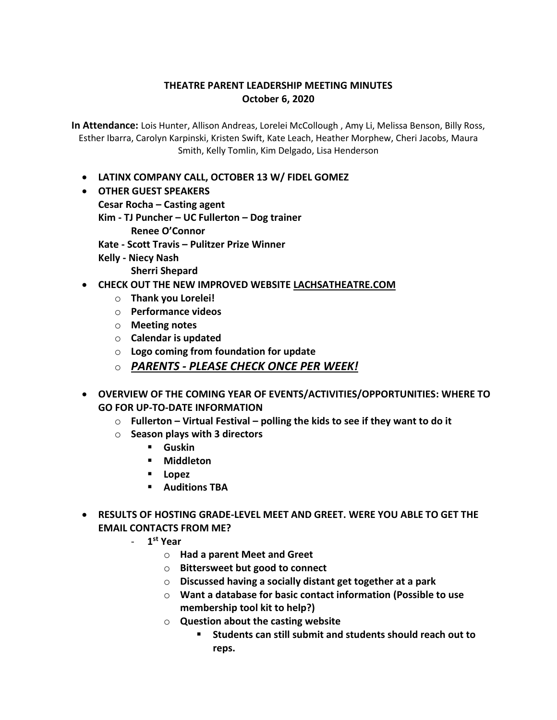## **THEATRE PARENT LEADERSHIP MEETING MINUTES October 6, 2020**

**In Attendance:** Lois Hunter, Allison Andreas, Lorelei McCollough , Amy Li, Melissa Benson, Billy Ross, Esther Ibarra, Carolyn Karpinski, Kristen Swift, Kate Leach, Heather Morphew, Cheri Jacobs, Maura Smith, Kelly Tomlin, Kim Delgado, Lisa Henderson

- **LATINX COMPANY CALL, OCTOBER 13 W/ FIDEL GOMEZ**
- **OTHER GUEST SPEAKERS Cesar Rocha – Casting agent Kim - TJ Puncher – UC Fullerton – Dog trainer Renee O'Connor Kate - Scott Travis – Pulitzer Prize Winner Kelly - Niecy Nash Sherri Shepard**
- **CHECK OUT THE NEW IMPROVED WEBSITE LACHSATHEATRE.COM**
	- o **Thank you Lorelei!**
	- o **Performance videos**
	- o **Meeting notes**
	- o **Calendar is updated**
	- o **Logo coming from foundation for update**
	- o *PARENTS - PLEASE CHECK ONCE PER WEEK!*
- **OVERVIEW OF THE COMING YEAR OF EVENTS/ACTIVITIES/OPPORTUNITIES: WHERE TO GO FOR UP-TO-DATE INFORMATION**
	- o **Fullerton – Virtual Festival – polling the kids to see if they want to do it**
	- o **Season plays with 3 directors**
		- **Guskin**
		- **Middleton**
		- **Lopez**
		- **Auditions TBA**
- **RESULTS OF HOSTING GRADE-LEVEL MEET AND GREET. WERE YOU ABLE TO GET THE EMAIL CONTACTS FROM ME?**
	- **1 st Year** 
		- o **Had a parent Meet and Greet**
		- o **Bittersweet but good to connect**
		- o **Discussed having a socially distant get together at a park**
		- o **Want a database for basic contact information (Possible to use membership tool kit to help?)**
		- o **Question about the casting website** 
			- **Students can still submit and students should reach out to reps.**